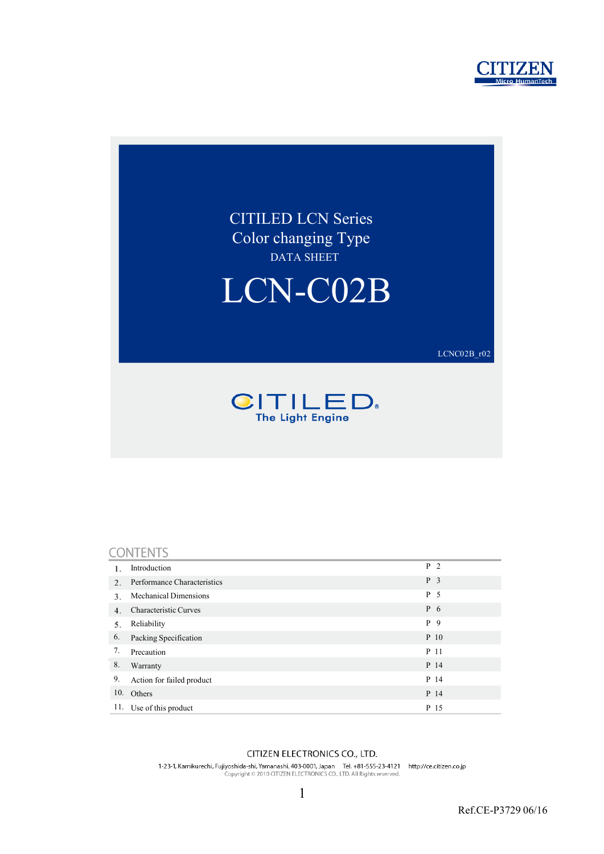



#### CONTENTS

|     | Introduction                 | P <sub>2</sub> |
|-----|------------------------------|----------------|
| 2.  | Performance Characteristics  | P <sub>3</sub> |
| 3.  | <b>Mechanical Dimensions</b> | P 5            |
| 4.  | Characteristic Curves        | $P_6$          |
| 5.  | Reliability                  | P 9            |
| 6.  | Packing Specification        | $P_10$         |
| 7.  | Precaution                   | P 11           |
| 8.  | Warranty                     | P 14           |
| 9.  | Action for failed product    | P 14           |
| 10. | Others                       | P 14           |
| 11. | Use of this product          | P 15           |

#### CITIZEN ELECTRONICS CO., LTD.

1-23-1, Kamikurechi, Fujiyoshida-shi, Yamanashi, 403-0001, Japan Tel. +81-555-23-4121 http://ce.citizen.co.jp<br>Copyright © 2010 CITIZEN ELECTRONICS CO., LTD. All Rights reserved.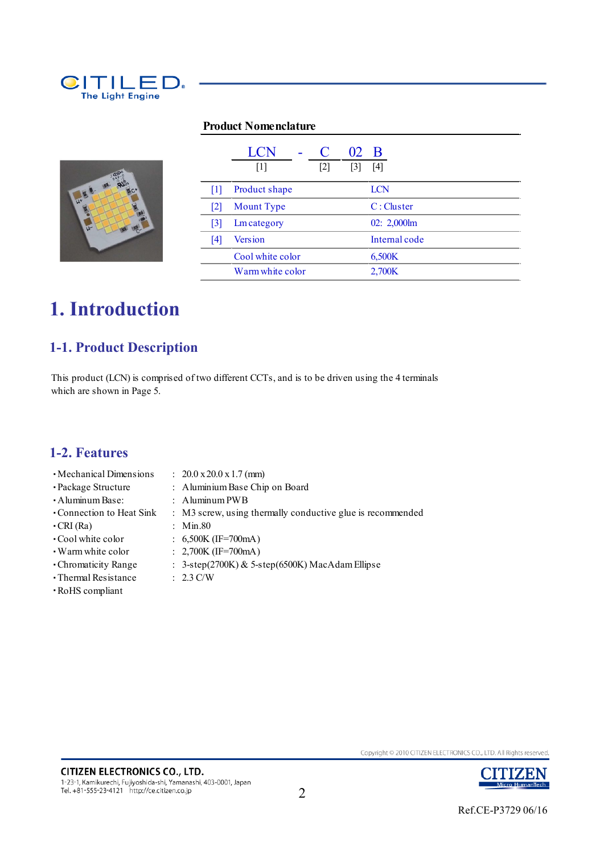

#### **Product Nomenclature**



|                   | LCN               | O                 | 02                | - B            |
|-------------------|-------------------|-------------------|-------------------|----------------|
|                   | $\lceil 1 \rceil$ | $\lceil 2 \rceil$ | $\lceil 3 \rceil$ | [4]            |
| 111               | Product shape     |                   |                   | LCN            |
| $\lceil 2 \rceil$ | <b>Mount</b> Type |                   |                   | C: Cluster     |
| [3]               | Lm category       |                   |                   | $02: 2,000$ lm |
| 14                | Version           |                   |                   | Internal code  |
|                   | Cool white color  |                   |                   | 6,500K         |
|                   | Warm white color  |                   |                   | 2,700K         |

## **1. Introduction**

## **1-1. Product Description**

This product (LCN) is comprised of two different CCTs, and is to be driven using the 4 terminals which are shown in Page 5.

### **1-2. Features**

- ・Mechanical Dimensions : 20.0 x 20.0 x 1.7 (mm)
	-
- ・Package Structure : Aluminium Base Chip on Board
	-
- ・Aluminum Base: : Aluminum PWB
- ・Connection to Heat Sink : M3 screw, using thermally conductive glue is recommended ・CRI (Ra) : Min.80
- 
- ・Cool white color : 6,500K (IF=700mA)
- ・Warm white color : 2,700K (IF=700mA)
- ・Chromaticity Range : 3-step(2700K) & 5-step(6500K) MacAdam Ellipse
- ・Thermal Resistance : 2.3 C/W
- 
- ・RoHS compliant

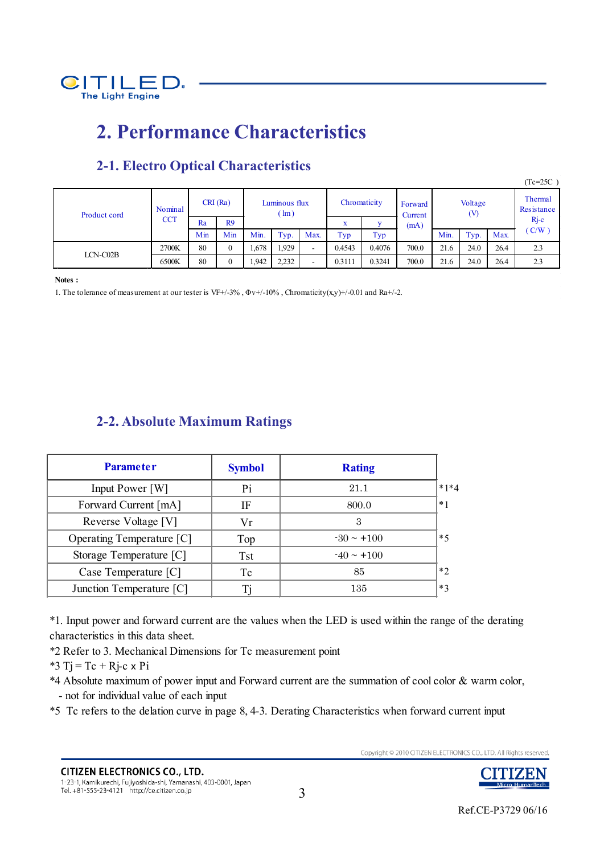

## **2. Performance Characteristics**

|              |                       |     |                |                                |       |                          |        |                    |                |      |        |                       | $(Tc=25C)$ |
|--------------|-----------------------|-----|----------------|--------------------------------|-------|--------------------------|--------|--------------------|----------------|------|--------|-----------------------|------------|
| Product cord | Nominal<br><b>CCT</b> |     | CRI(Ra)        | Luminous flux<br>$\text{Im}$ ) |       | Chromaticity             |        | Forward<br>Current | Voltage<br>(V) |      |        | Thermal<br>Resistance |            |
|              |                       | Ra  | R9             |                                |       |                          | w<br>л | (mA)               |                |      | $Rj-c$ |                       |            |
|              |                       | Min | Min            | Min.                           | Typ.  | Max.                     | Typ    | Typ                |                | Min. | Typ.   | <b>Max</b>            | (C/W)      |
| $LCN-C02B$   | 2700K                 | 80  | $\overline{0}$ | .678                           | 1,929 | $\overline{\phantom{a}}$ | 0.4543 | 0.4076             | 700.0          | 21.6 | 24.0   | 26.4                  | 2.3        |
|              | 6500K                 | 80  | $\mathbf{0}$   | .942                           | 2,232 |                          | 0.3111 | 0.3241             | 700.0          | 21.6 | 24.0   | 26.4                  | 2.3        |

## **2-1. Electro Optical Characteristics**

**Notes :**

1. The tolerance of measurement at our tester is VF+/-3%,  $\Phi v$ +/-10%, Chromaticity(x,y)+/-0.01 and Ra+/-2.

### **2-2. Absolute Maximum Ratings**

| <b>Parameter</b>          | <b>Symbol</b> | <b>Rating</b>   |        |
|---------------------------|---------------|-----------------|--------|
| Input Power [W]           | Pi            | 21.1            | $*1*4$ |
| Forward Current [mA]      | IF            | 800.0           | $*1$   |
| Reverse Voltage [V]       | Vr            | 3               |        |
| Operating Temperature [C] | Top           | $-30 \sim +100$ | $*5$   |
| Storage Temperature [C]   | <b>Tst</b>    | $-40 \sim +100$ |        |
| Case Temperature [C]      | Tc            | 85              | $*$    |
| Junction Temperature [C]  |               | 135             | $*3$   |

\*1. Input power and forward current are the values when the LED is used within the range of the derating characteristics in this data sheet.

\*2 Refer to 3. Mechanical Dimensions for Tc measurement point

\*3 Tj = Tc + Rj-c  $\times$  Pi

\*4 Absolute maximum of power input and Forward current are the summation of cool color & warm color, - not for individual value of each input

\*5 Tc refers to the delation curve in page 8, 4-3. Derating Characteristics when forward current input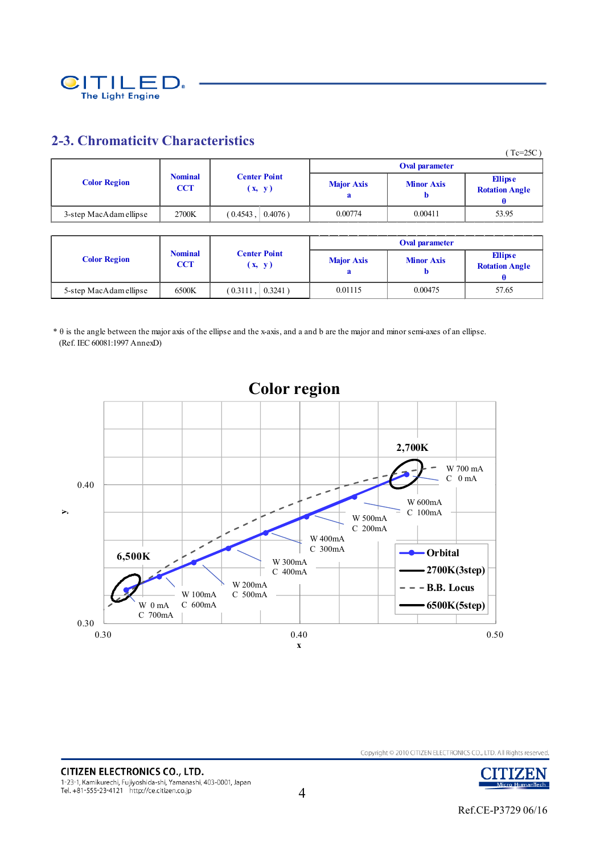

### **2-3. Chromaticity Characteristics**

|                        |                              |                               |                   |                   | $(Tc=25C)$                              |
|------------------------|------------------------------|-------------------------------|-------------------|-------------------|-----------------------------------------|
|                        |                              |                               |                   | Oval parameter    |                                         |
| <b>Color Region</b>    | <b>Nominal</b><br><b>CCT</b> | <b>Center Point</b><br>(x, y) | <b>Major Axis</b> | <b>Minor Axis</b> | <b>Ellipse</b><br><b>Rotation Angle</b> |
| 3-step MacAdam ellipse | 2700K                        | (0.4543,<br>$0.4076$ )        | 0.00774           | 0.00411           | 53.95                                   |

|                        |                              |                               |            |                                        | <b>Oval parameter</b> |                                  |
|------------------------|------------------------------|-------------------------------|------------|----------------------------------------|-----------------------|----------------------------------|
| <b>Color Region</b>    | <b>Nominal</b><br><b>CCT</b> | <b>Center Point</b><br>(x, y) |            | <b>Major Axis</b><br><b>Minor Axis</b> |                       | Ellipse<br><b>Rotation Angle</b> |
| 5-step MacAdam ellipse | 6500K                        | $(0.3111)$ .                  | $0.3241$ ) | 0.01115                                | 0.00475               | 57.65                            |

\* θ is the angle between the major axis of the ellipse and the x-axis, and a and b are the major and minor semi-axes of an ellipse. (Ref. IEC 60081:1997 AnnexD)



TIZEN

Micro HumanTech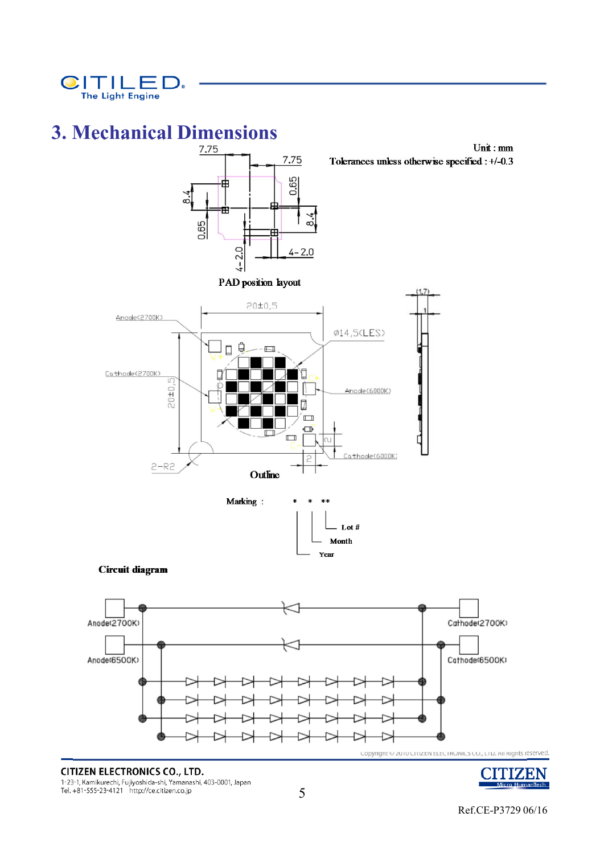

# **3. Mechanical Dimensions**



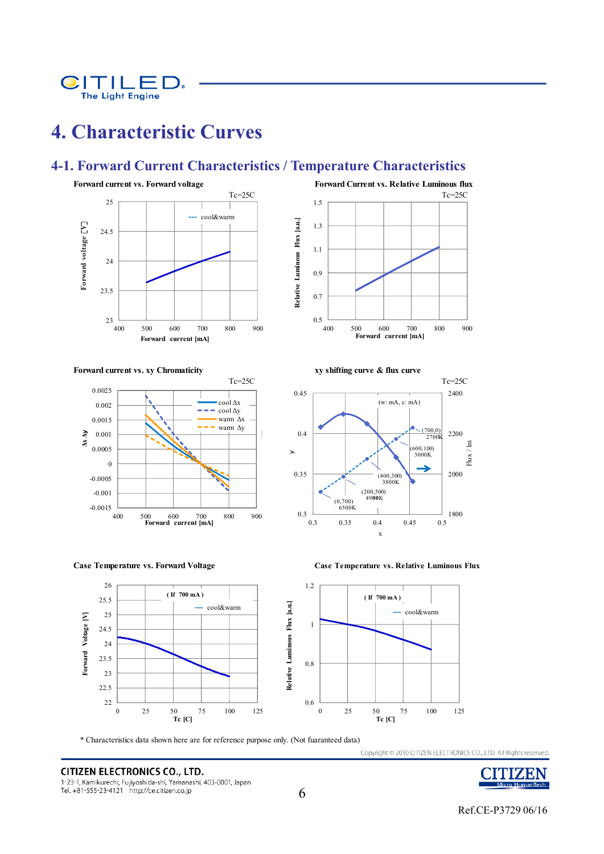

## **4. Characteristic Curves**

### **4-1. Forward Current Characteristics / Temperature Characteristics**





**Forward current vs. xy Chromaticity and Solution 2 and Solution 2 and Solution 2 and Solution 2 and Solution 2 and Solution 2 and Solution 2 and Solution 2 and Solution 2 and Solution 2 and Solution 2 and Solution 2 and** 





**Case Temperature vs. Forward Voltage Case Temperature vs. Relative Luminous Flux**

**Forward Voltage [V]**

Forward Voltage [V]



\* Characteristics data shown here are for reference purpose only. (Not fuaranteed data)

**CITIZEN ELECTRONICS CO., LTD.** 1-23-1, Kamikurechi, Fujiyoshida-shi, Yamanashi, 403-0001, Japan Tel. +81-555-23-4121 http://ce.citizen.co.jp



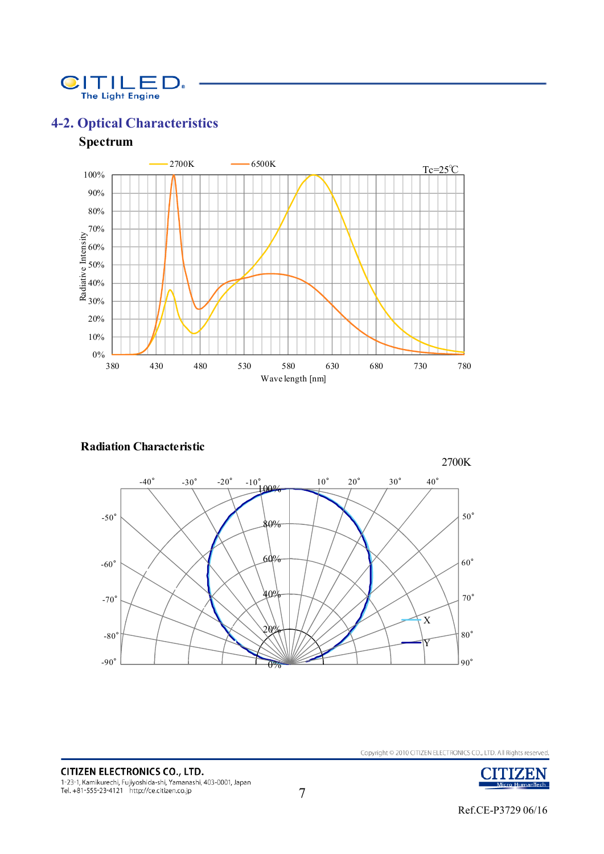

## **4-2. Optical Characteristics**

### **Spectrum**



#### **Radiation Characteristic**

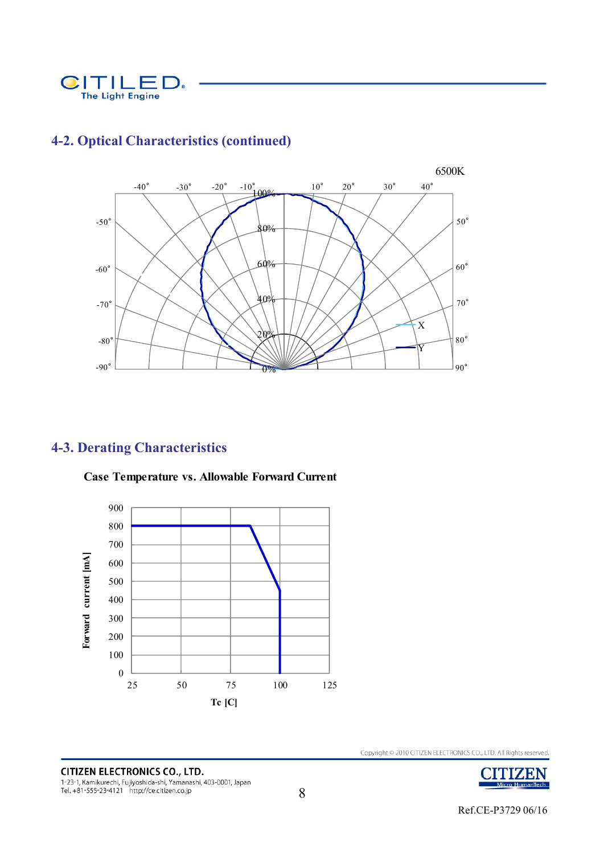



## **4-2. Optical Characteristics (continued)**

## **4-3. Derating Characteristics**



**Case Temperature vs. Allowable Forward Current**

**CITIZEN ELECTRONICS CO., LTD.** 1-23-1, Kamikurechi, Fujiyoshida-shi, Yamanashi, 403-0001, Japan<br>Tel. +81-555-23-4121 http://ce.citizen.co.jp

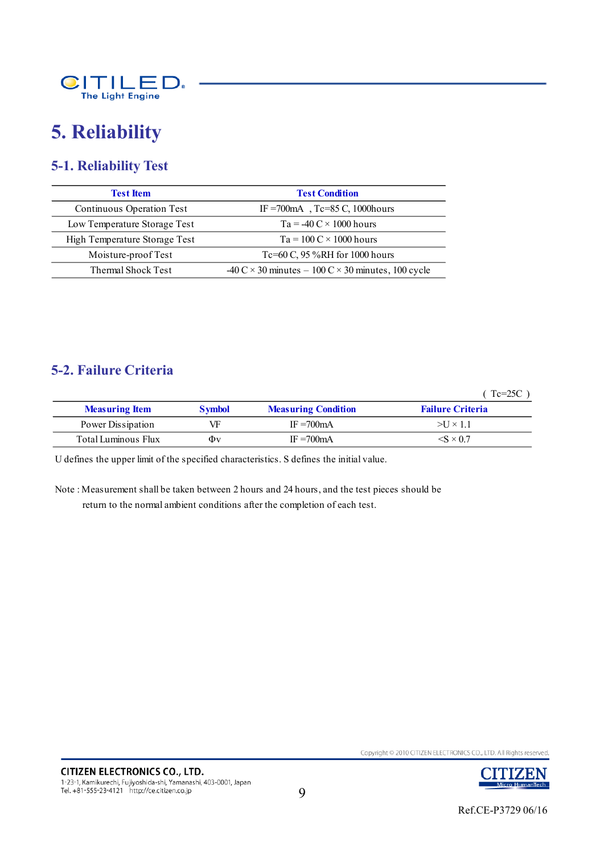

## **5. Reliability**

## **5-1. Reliability Test**

| <b>Test Item</b>              | <b>Test Condition</b>                                                                           |
|-------------------------------|-------------------------------------------------------------------------------------------------|
| Continuous Operation Test     | IF = 700 mA Tc=85 C, 1000 hours                                                                 |
| Low Temperature Storage Test  | $Ta = -40 C \times 1000$ hours                                                                  |
| High Temperature Storage Test | $Ta = 100 C \times 1000$ hours                                                                  |
| Moisture-proof Test           | Tc=60 C, 95 %RH for 1000 hours                                                                  |
| Thermal Shock Test            | $-40 \text{ C} \times 30 \text{ minutes} - 100 \text{ C} \times 30 \text{ minutes}$ , 100 cycle |

### **5-2. Failure Criteria**

( Tc=25C )

| <b>Measuring Item</b> | <b>Symbol</b> | <b>Measuring Condition</b> | <b>Failure Criteria</b>  |
|-----------------------|---------------|----------------------------|--------------------------|
| Power Dissipation     | VF            | IF $=700$ mA               | $>U \times 1.1$          |
| Total Luminous Flux   | Φv            | $IF = 700mA$               | $\langle$ S $\times$ 0.7 |

U defines the upper limit of the specified characteristics. S defines the initial value.

Note : Measurement shall be taken between 2 hours and 24 hours, and the test pieces should be return to the normal ambient conditions after the completion of each test.

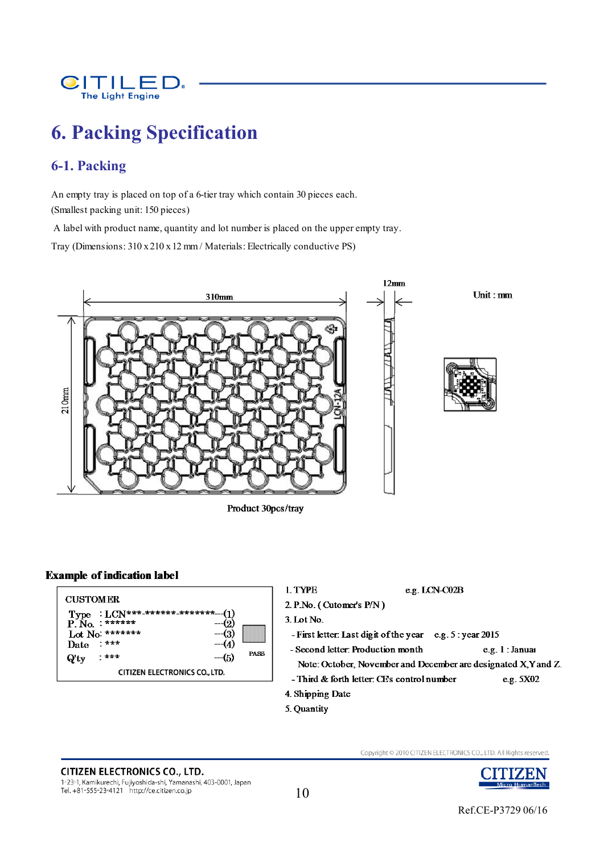

## **6. Packing Specification**

## **6-1. Packing**

An empty tray is placed on top of a 6-tier tray which contain 30 pieces each. (Smallest packing unit: 150 pieces)

A label with product name, quantity and lot number is placed on the upper empty tray.

Tray (Dimensions: 310 x 210 x 12 mm / Materials: Electrically conductive PS)



Product 30pcs/tray

#### **Example of indication label**

| <b>CUSTOMER</b><br>$: LCN***************$ (1<br>Type<br>$P N_0$ : ******<br>Lot No: *******<br>$-3$<br><b>***</b><br>$-4(4)$<br>Date<br><b>PASS</b><br>$-(5)$<br>$+***$<br>$Q'$ ty<br><b>CITIZEN ELECTRONICS CO., LTD.</b> | 1. TYPE<br>e.g. LCN-C02B<br>2. P.No. (Cutomer's P/N)<br>$3.$ Lot No.<br>- First letter: Last digit of the year $e.g. 5: year 2015$<br>- Second letter: Production month<br>Note: October, November and December are designated X, Y and Z.<br>- Third & forth letter: CE's control number<br>4. Shipping Date | e.g. 1: Janua<br>e.g. 5X02 |
|----------------------------------------------------------------------------------------------------------------------------------------------------------------------------------------------------------------------------|---------------------------------------------------------------------------------------------------------------------------------------------------------------------------------------------------------------------------------------------------------------------------------------------------------------|----------------------------|
|----------------------------------------------------------------------------------------------------------------------------------------------------------------------------------------------------------------------------|---------------------------------------------------------------------------------------------------------------------------------------------------------------------------------------------------------------------------------------------------------------------------------------------------------------|----------------------------|

5. Quantity

## **CITIZEN ELECTRONICS CO., LTD.**

1-23-1, Kamikurechi, Fujiyoshida-shi, Yamanashi, 403-0001, Japan<br>Tel. +81-555-23-4121 http://ce.citizen.co.jp

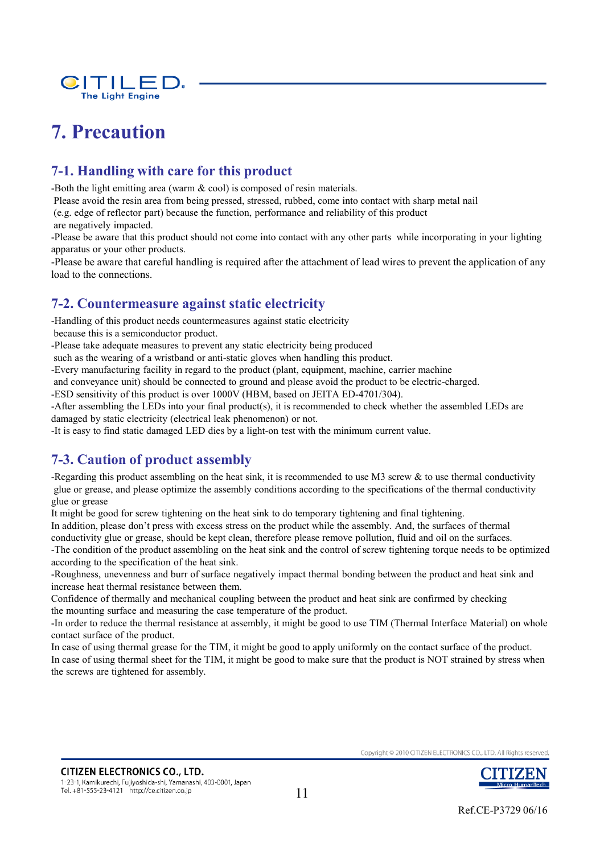

## **7. Precaution**

## **7-1. Handling with care for this product**

-Both the light emitting area (warm & cool) is composed of resin materials.

Please avoid the resin area from being pressed, stressed, rubbed, come into contact with sharp metal nail

(e.g. edge of reflector part) because the function, performance and reliability of this product

are negatively impacted.

-Please be aware that this product should not come into contact with any other parts while incorporating in your lighting apparatus or your other products.

-Please be aware that careful handling is required after the attachment of lead wires to prevent the application of any load to the connections.

### **7-2. Countermeasure against static electricity**

-Handling of this product needs countermeasures against static electricity

because this is a semiconductor product.

-Please take adequate measures to prevent any static electricity being produced

such as the wearing of a wristband or anti-static gloves when handling this product.

-Every manufacturing facility in regard to the product (plant, equipment, machine, carrier machine

and conveyance unit) should be connected to ground and please avoid the product to be electric-charged.

-ESD sensitivity of this product is over 1000V (HBM, based on JEITA ED-4701/304).

-After assembling the LEDs into your final product(s), it is recommended to check whether the assembled LEDs are damaged by static electricity (electrical leak phenomenon) or not.

-It is easy to find static damaged LED dies by a light-on test with the minimum current value.

### **7-3. Caution of product assembly**

-Regarding this product assembling on the heat sink, it is recommended to use M3 screw  $\&$  to use thermal conductivity glue or grease, and please optimize the assembly conditions according to the specifications of the thermal conductivity glue or grease

It might be good for screw tightening on the heat sink to do temporary tightening and final tightening.

In addition, please don't press with excess stress on the product while the assembly. And, the surfaces of thermal

conductivity glue or grease, should be kept clean, therefore please remove pollution, fluid and oil on the surfaces.

-The condition of the product assembling on the heat sink and the control of screw tightening torque needs to be optimized according to the specification of the heat sink.

-Roughness, unevenness and burr of surface negatively impact thermal bonding between the product and heat sink and increase heat thermal resistance between them.

Confidence of thermally and mechanical coupling between the product and heat sink are confirmed by checking the mounting surface and measuring the case temperature of the product.

-In order to reduce the thermal resistance at assembly, it might be good to use TIM (Thermal Interface Material) on whole contact surface of the product.

In case of using thermal grease for the TIM, it might be good to apply uniformly on the contact surface of the product. In case of using thermal sheet for the TIM, it might be good to make sure that the product is NOT strained by stress when the screws are tightened for assembly.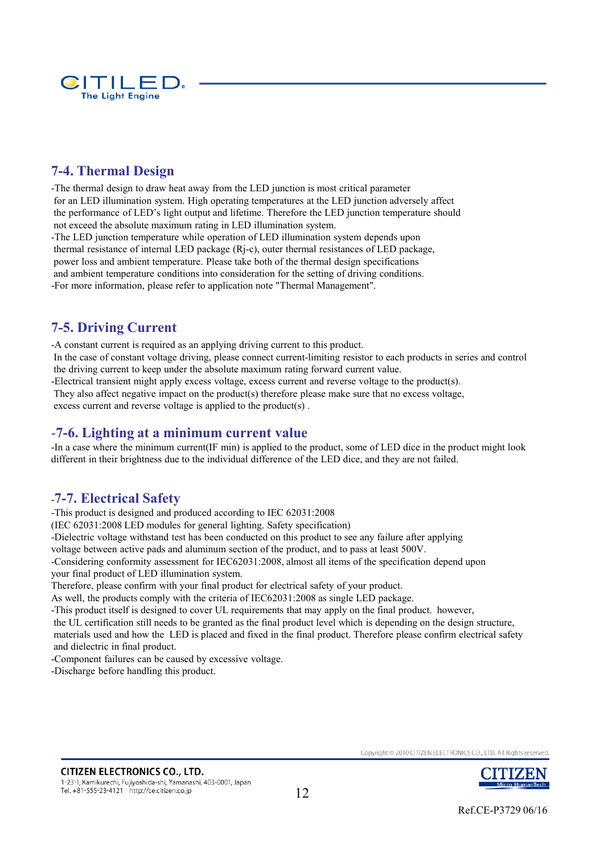

## **7-4. Thermal Design**

-The thermal design to draw heat away from the LED junction is most critical parameter for an LED illumination system. High operating temperatures at the LED junction adversely affect the performance of LED's light output and lifetime. Therefore the LED junction temperature should not exceed the absolute maximum rating in LED illumination system. -The LED junction temperature while operation of LED illumination system depends upon

thermal resistance of internal LED package (Rj-c), outer thermal resistances of LED package, power loss and ambient temperature. Please take both of the thermal design specifications and ambient temperature conditions into consideration for the setting of driving conditions. -For more information, please refer to application note "Thermal Management".

## **7-5. Driving Current**

-A constant current is required as an applying driving current to this product. In the case of constant voltage driving, please connect current-limiting resistor to each products in series and control the driving current to keep under the absolute maximum rating forward current value.

-Electrical transient might apply excess voltage, excess current and reverse voltage to the product(s).

They also affect negative impact on the product(s) therefore please make sure that no excess voltage,

excess current and reverse voltage is applied to the product(s) .

#### -**7-6. Lighting at a minimum current value**

-In a case where the minimum current(IF min) is applied to the product, some of LED dice in the product might look different in their brightness due to the individual difference of the LED dice, and they are not failed.

#### -**7-7. Electrical Safety**

-This product is designed and produced according to IEC 62031:2008

(IEC 62031:2008 LED modules for general lighting. Safety specification)

-Dielectric voltage withstand test has been conducted on this product to see any failure after applying

voltage between active pads and aluminum section of the product, and to pass at least 500V.

-Considering conformity assessment for IEC62031:2008, almost all items of the specification depend upon your final product of LED illumination system.

Therefore, please confirm with your final product for electrical safety of your product.

As well, the products comply with the criteria of IEC62031:2008 as single LED package.

-This product itself is designed to cover UL requirements that may apply on the final product. however,

the UL certification still needs to be granted as the final product level which is depending on the design structure, materials used and how the LED is placed and fixed in the final product. Therefore please confirm electrical safety and dielectric in final product.

-Component failures can be caused by excessive voltage.

-Discharge before handling this product.

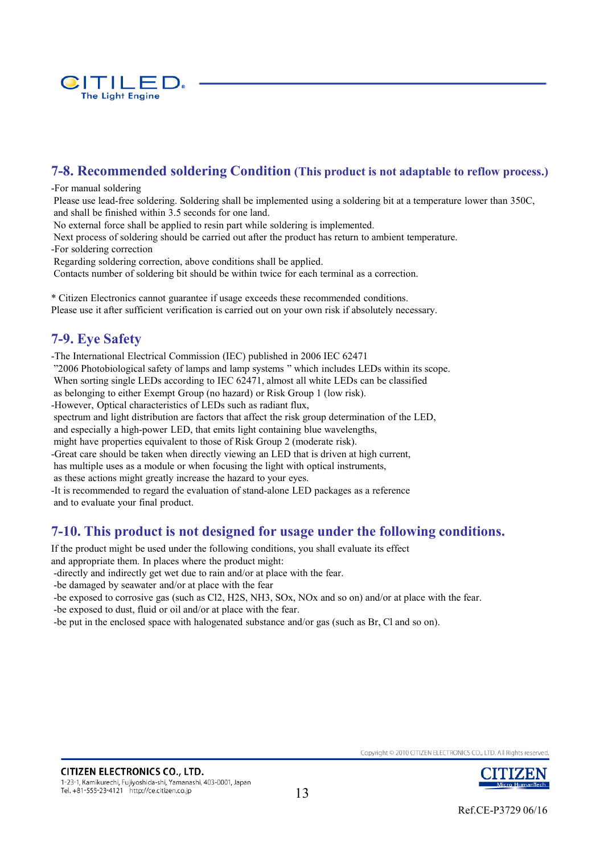

## **7-8. Recommended soldering Condition (This product is not adaptable to reflow process.)**

#### -For manual soldering

Please use lead-free soldering. Soldering shall be implemented using a soldering bit at a temperature lower than 350C, and shall be finished within 3.5 seconds for one land.

No external force shall be applied to resin part while soldering is implemented.

Next process of soldering should be carried out after the product has return to ambient temperature. -For soldering correction

Regarding soldering correction, above conditions shall be applied.

Contacts number of soldering bit should be within twice for each terminal as a correction.

\* Citizen Electronics cannot guarantee if usage exceeds these recommended conditions. Please use it after sufficient verification is carried out on your own risk if absolutely necessary.

#### **7-9. Eye Safety**

-The International Electrical Commission (IEC) published in 2006 IEC 62471 "2006 Photobiological safety of lamps and lamp systems " which includes LEDs within its scope. When sorting single LEDs according to IEC 62471, almost all white LEDs can be classified as belonging to either Exempt Group (no hazard) or Risk Group 1 (low risk). -However, Optical characteristics of LEDs such as radiant flux, spectrum and light distribution are factors that affect the risk group determination of the LED, and especially a high-power LED, that emits light containing blue wavelengths, might have properties equivalent to those of Risk Group 2 (moderate risk). -Great care should be taken when directly viewing an LED that is driven at high current, has multiple uses as a module or when focusing the light with optical instruments, as these actions might greatly increase the hazard to your eyes. -It is recommended to regard the evaluation of stand-alone LED packages as a reference and to evaluate your final product.

#### **7-10. This product is not designed for usage under the following conditions.**

If the product might be used under the following conditions, you shall evaluate its effect

and appropriate them. In places where the product might:

-directly and indirectly get wet due to rain and/or at place with the fear.

-be damaged by seawater and/or at place with the fear

-be exposed to corrosive gas (such as Cl2, H2S, NH3, SOx, NOx and so on) and/or at place with the fear. -be exposed to dust, fluid or oil and/or at place with the fear.

-be put in the enclosed space with halogenated substance and/or gas (such as Br, Cl and so on).



Ref.CE-P3729 06/16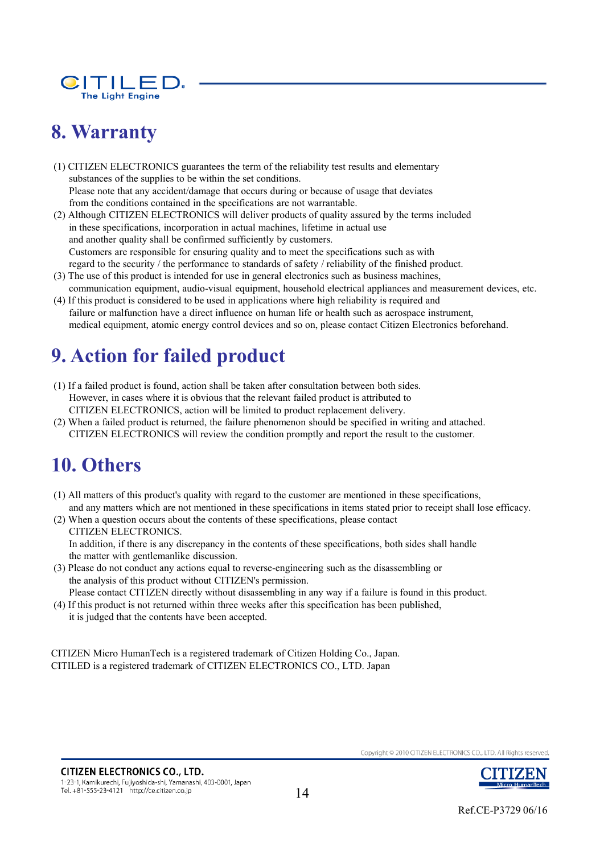

## **8. Warranty**

(1) CITIZEN ELECTRONICS guarantees the term of the reliability test results and elementary substances of the supplies to be within the set conditions. Please note that any accident/damage that occurs during or because of usage that deviates from the conditions contained in the specifications are not warrantable.

- (2) Although CITIZEN ELECTRONICS will deliver products of quality assured by the terms included in these specifications, incorporation in actual machines, lifetime in actual use and another quality shall be confirmed sufficiently by customers. Customers are responsible for ensuring quality and to meet the specifications such as with regard to the security / the performance to standards of safety / reliability of the finished product.
- (3) The use of this product is intended for use in general electronics such as business machines, communication equipment, audio-visual equipment, household electrical appliances and measurement devices, etc.
- (4) If this product is considered to be used in applications where high reliability is required and failure or malfunction have a direct influence on human life or health such as aerospace instrument, medical equipment, atomic energy control devices and so on, please contact Citizen Electronics beforehand.

## **9. Action for failed product**

- (1) If a failed product is found, action shall be taken after consultation between both sides. However, in cases where it is obvious that the relevant failed product is attributed to CITIZEN ELECTRONICS, action will be limited to product replacement delivery.
- (2) When a failed product is returned, the failure phenomenon should be specified in writing and attached. CITIZEN ELECTRONICS will review the condition promptly and report the result to the customer.

## **10. Others**

- (1) All matters of this product's quality with regard to the customer are mentioned in these specifications, and any matters which are not mentioned in these specifications in items stated prior to receipt shall lose efficacy.
- (2) When a question occurs about the contents of these specifications, please contact CITIZEN ELECTRONICS. In addition, if there is any discrepancy in the contents of these specifications, both sides shall handle the matter with gentlemanlike discussion.
- (3) Please do not conduct any actions equal to reverse-engineering such as the disassembling or the analysis of this product without CITIZEN's permission.

Please contact CITIZEN directly without disassembling in any way if a failure is found in this product.

(4) If this product is not returned within three weeks after this specification has been published, it is judged that the contents have been accepted.

CITIZEN Micro HumanTech is a registered trademark of Citizen Holding Co., Japan. CITILED is a registered trademark of CITIZEN ELECTRONICS CO., LTD. Japan

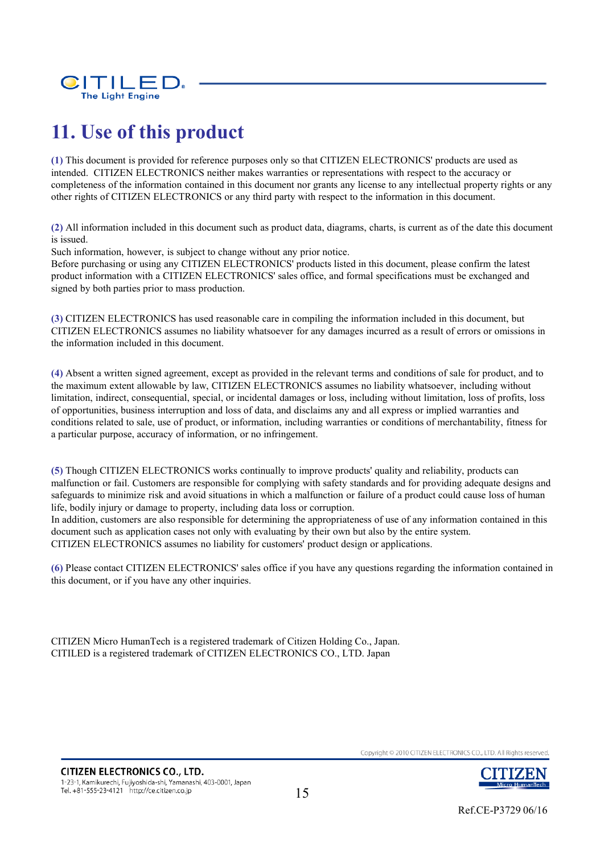

## **11. Use of this product**

**(1)** This document is provided for reference purposes only so that CITIZEN ELECTRONICS' products are used as intended. CITIZEN ELECTRONICS neither makes warranties or representations with respect to the accuracy or completeness of the information contained in this document nor grants any license to any intellectual property rights or any other rights of CITIZEN ELECTRONICS or any third party with respect to the information in this document.

**(2)** All information included in this document such as product data, diagrams, charts, is current as of the date this document is issued.

Such information, however, is subject to change without any prior notice.

Before purchasing or using any CITIZEN ELECTRONICS' products listed in this document, please confirm the latest product information with a CITIZEN ELECTRONICS' sales office, and formal specifications must be exchanged and signed by both parties prior to mass production.

**(3)** CITIZEN ELECTRONICS has used reasonable care in compiling the information included in this document, but CITIZEN ELECTRONICS assumes no liability whatsoever for any damages incurred as a result of errors or omissions in the information included in this document.

**(4)** Absent a written signed agreement, except as provided in the relevant terms and conditions of sale for product, and to the maximum extent allowable by law, CITIZEN ELECTRONICS assumes no liability whatsoever, including without limitation, indirect, consequential, special, or incidental damages or loss, including without limitation, loss of profits, loss of opportunities, business interruption and loss of data, and disclaims any and all express or implied warranties and conditions related to sale, use of product, or information, including warranties or conditions of merchantability, fitness for a particular purpose, accuracy of information, or no infringement.

**(5)** Though CITIZEN ELECTRONICS works continually to improve products' quality and reliability, products can malfunction or fail. Customers are responsible for complying with safety standards and for providing adequate designs and safeguards to minimize risk and avoid situations in which a malfunction or failure of a product could cause loss of human life, bodily injury or damage to property, including data loss or corruption.

In addition, customers are also responsible for determining the appropriateness of use of any information contained in this document such as application cases not only with evaluating by their own but also by the entire system. CITIZEN ELECTRONICS assumes no liability for customers' product design or applications.

**(6)** Please contact CITIZEN ELECTRONICS' sales office if you have any questions regarding the information contained in this document, or if you have any other inquiries.

CITIZEN Micro HumanTech is a registered trademark of Citizen Holding Co., Japan. CITILED is a registered trademark of CITIZEN ELECTRONICS CO., LTD. Japan